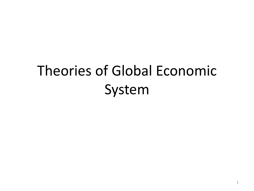## Theories of Global Economic System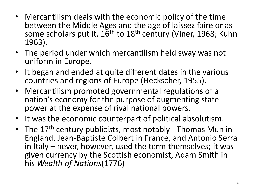- Mercantilism deals with the economic policy of the time between the Middle Ages and the age of laissez faire or as some scholars put it,  $16<sup>th</sup>$  to  $18<sup>th</sup>$  century (Viner, 1968; Kuhn 1963).
- The period under which mercantilism held sway was not uniform in Europe.
- It began and ended at quite different dates in the various countries and regions of Europe (Heckscher, 1955).
- Mercantilism promoted governmental regulations of a nation's economy for the purpose of augmenting state power at the expense of rival national powers.
- It was the economic counterpart of political absolutism.
- The 17<sup>th</sup> century publicists, most notably Thomas Mun in England, Jean-Baptiste Colbert in France, and Antonio Serra in Italy – never, however, used the term themselves; it was given currency by the Scottish economist, Adam Smith in his *Wealth of Nations*(1776)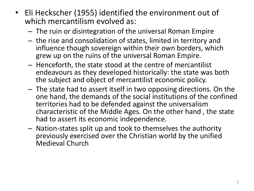- Eli Heckscher (1955) identified the environment out of which mercantilism evolved as:
	- The ruin or disintegration of the universal Roman Empire
	- the rise and consolidation of states, limited in territory and influence though sovereign within their own borders, which grew up on the ruins of the universal Roman Empire.
	- Henceforth, the state stood at the centre of mercantilist endeavours as they developed historically: the state was both the subject and object of mercantilist economic policy.
	- The state had to assert itself in two opposing directions. On the one hand, the demands of the social institutions of the confined territories had to be defended against the universalism characteristic of the Middle Ages. On the other hand , the state had to assert its economic independence.
	- Nation-states split up and took to themselves the authority previously exercised over the Christian world by the unified Medieval Church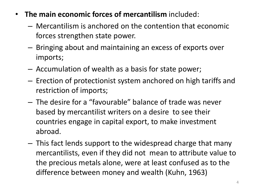- **The main economic forces of mercantilism** included:
	- Mercantilism is anchored on the contention that economic forces strengthen state power.
	- Bringing about and maintaining an excess of exports over imports;
	- Accumulation of wealth as a basis for state power;
	- Erection of protectionist system anchored on high tariffs and restriction of imports;
	- The desire for a "favourable" balance of trade was never based by mercantilist writers on a desire to see their countries engage in capital export, to make investment abroad.
	- This fact lends support to the widespread charge that many mercantilists, even if they did not mean to attribute value to the precious metals alone, were at least confused as to the difference between money and wealth (Kuhn, 1963)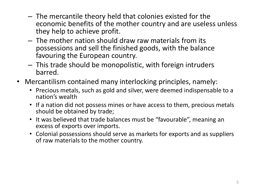- The mercantile theory held that colonies existed for the economic benefits of the mother country and are useless unless they help to achieve profit.
- The mother nation should draw raw materials from its possessions and sell the finished goods, with the balance favouring the European country.
- This trade should be monopolistic, with foreign intruders barred.
- Mercantilism contained many interlocking principles, namely:
	- Precious metals, such as gold and silver, were deemed indispensable to a nation's wealth
	- If a nation did not possess mines or have access to them, precious metals should be obtained by trade;
	- It was believed that trade balances must be "favourable", meaning an excess of exports over imports.
	- Colonial possessions should serve as markets for exports and as suppliers of raw materials to the mother country.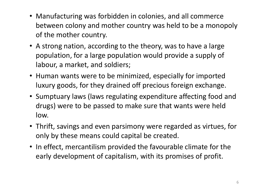- Manufacturing was forbidden in colonies, and all commerce between colony and mother country was held to be a monopoly of the mother country.
- A strong nation, according to the theory, was to have a large population, for a large population would provide a supply of labour, a market, and soldiers;
- Human wants were to be minimized, especially for imported luxury goods, for they drained off precious foreign exchange.
- Sumptuary laws (laws regulating expenditure affecting food and drugs) were to be passed to make sure that wants were held low.
- Thrift, savings and even parsimony were regarded as virtues, for only by these means could capital be created.
- In effect, mercantilism provided the favourable climate for the early development of capitalism, with its promises of profit.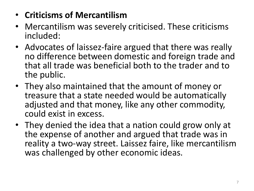- **Criticisms of Mercantilism**
- Mercantilism was severely criticised. These criticisms included:
- Advocates of laissez-faire argued that there was really no difference between domestic and foreign trade and that all trade was beneficial both to the trader and to the public.
- They also maintained that the amount of money or treasure that a state needed would be automatically adjusted and that money, like any other commodity, could exist in excess.
- They denied the idea that a nation could grow only at the expense of another and argued that trade was in reality a two-way street. Laissez faire, like mercantilism was challenged by other economic ideas.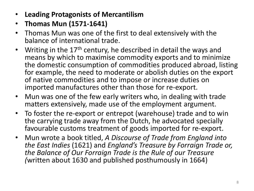- **Leading Protagonists of Mercantilism**
- **Thomas Mun (1571-1641)**
- Thomas Mun was one of the first to deal extensively with the balance of international trade.
- Writing in the 17<sup>th</sup> century, he described in detail the ways and means by which to maximise commodity exports and to minimize the domestic consumption of commodities produced abroad, listing for example, the need to moderate or abolish duties on the export of native commodities and to impose or increase duties on imported manufactures other than those for re-export.
- Mun was one of the few early writers who, in dealing with trade matters extensively, made use of the employment argument.
- To foster the re-export or entrepot (warehouse) trade and to win the carrying trade away from the Dutch, he advocated specially favourable customs treatment of goods imported for re-export.
- Mun wrote a book titled, *A Discourse of Trade from England into the East Indies* (1621) and *England's Treasure by Forraign Trade or, the Balance of Our Forraign Trade is the Rule of our Treasure (*written about 1630 and published posthumously in 1664)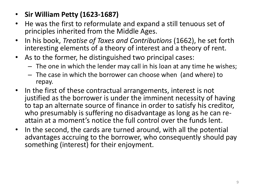- **Sir William Petty (1623-1687)**
- He was the first to reformulate and expand a still tenuous set of principles inherited from the Middle Ages.
- In his book, *Treatise of Taxes and Contributions* (1662), he set forth interesting elements of a theory of interest and a theory of rent.
- As to the former, he distinguished two principal cases:
	- The one in which the lender may call in his loan at any time he wishes;
	- The case in which the borrower can choose when (and where) to repay.
- In the first of these contractual arrangements, interest is not justified as the borrower is under the imminent necessity of having to tap an alternate source of finance in order to satisfy his creditor, who presumably is suffering no disadvantage as long as he can reattain at a moment's notice the full control over the funds lent.
- In the second, the cards are turned around, with all the potential advantages accruing to the borrower, who consequently should pay something (interest) for their enjoyment.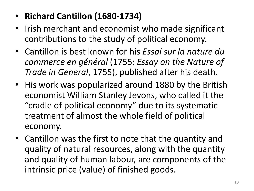- **Richard Cantillon (1680-1734)**
- Irish merchant and economist who made significant contributions to the study of political economy.
- Cantillon is best known for his *Essai sur la nature du commerce en général* (1755; *Essay on the Nature of Trade in General*, 1755), published after his death.
- His work was popularized around 1880 by the British economist William Stanley Jevons, who called it the "cradle of political economy" due to its systematic treatment of almost the whole field of political economy.
- Cantillon was the first to note that the quantity and quality of natural resources, along with the quantity and quality of human labour, are components of the intrinsic price (value) of finished goods.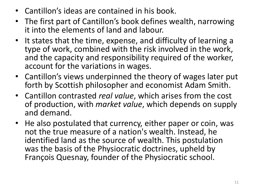- Cantillon's ideas are contained in his book.
- The first part of Cantillon's book defines wealth, narrowing it into the elements of land and labour.
- It states that the time, expense, and difficulty of learning a type of work, combined with the risk involved in the work, and the capacity and responsibility required of the worker, account for the variations in wages.
- Cantillon's views underpinned the theory of wages later put forth by Scottish philosopher and economist Adam Smith.
- Cantillon contrasted *real value*, which arises from the cost of production, with *market value*, which depends on supply and demand.
- He also postulated that currency, either paper or coin, was not the true measure of a nation's wealth. Instead, he identified land as the source of wealth. This postulation was the basis of the Physiocratic doctrines, upheld by François Quesnay, founder of the Physiocratic school.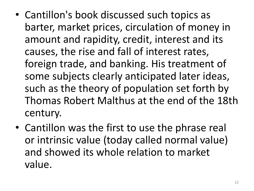- Cantillon's book discussed such topics as barter, market prices, circulation of money in amount and rapidity, credit, interest and its causes, the rise and fall of interest rates, foreign trade, and banking. His treatment of some subjects clearly anticipated later ideas, such as the theory of population set forth by Thomas Robert Malthus at the end of the 18th century.
- Cantillon was the first to use the phrase real or intrinsic value (today called normal value) and showed its whole relation to market value.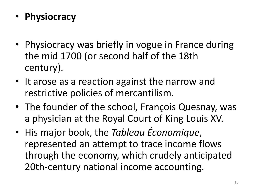- **Physiocracy**
- Physiocracy was briefly in vogue in France during the mid 1700 (or second half of the 18th century).
- It arose as a reaction against the narrow and restrictive policies of mercantilism.
- The founder of the school, François Quesnay, was a physician at the Royal Court of King Louis XV.
- His major book, the *Tableau Économique*, represented an attempt to trace income flows through the economy, which crudely anticipated 20th-century national income accounting.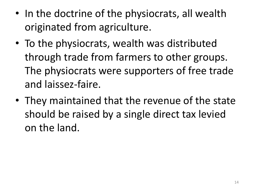- In the doctrine of the physiocrats, all wealth originated from agriculture.
- To the physiocrats, wealth was distributed through trade from farmers to other groups. The physiocrats were supporters of free trade and laissez-faire.
- They maintained that the revenue of the state should be raised by a single direct tax levied on the land.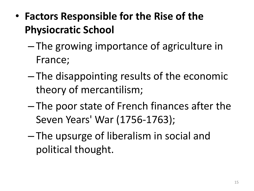- **Factors Responsible for the Rise of the Physiocratic School**
	- The growing importance of agriculture in France;
	- The disappointing results of the economic theory of mercantilism;
	- The poor state of French finances after the Seven Years' War (1756-1763);
	- The upsurge of liberalism in social and political thought.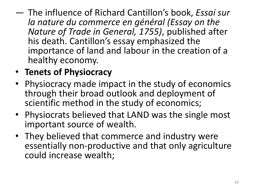- The influence of Richard Cantillon's book, *Essai sur la nature du commerce en général (Essay on the Nature of Trade in General, 1755)*, published after his death. Cantillon's essay emphasized the importance of land and labour in the creation of a healthy economy.
- **Tenets of Physiocracy**
- Physiocracy made impact in the study of economics through their broad outlook and deployment of scientific method in the study of economics;
- Physiocrats believed that LAND was the single most important source of wealth.
- They believed that commerce and industry were essentially non-productive and that only agriculture could increase wealth;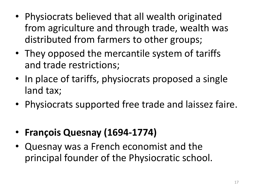- Physiocrats believed that all wealth originated from agriculture and through trade, wealth was distributed from farmers to other groups;
- They opposed the mercantile system of tariffs and trade restrictions;
- In place of tariffs, physiocrats proposed a single land tax;
- Physiocrats supported free trade and laissez faire.
- **François Quesnay (1694-1774)**
- Quesnay was a French economist and the principal founder of the Physiocratic school.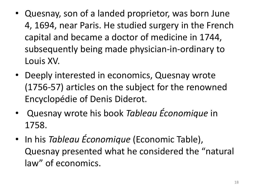- Quesnay, son of a landed proprietor, was born June 4, 1694, near Paris. He studied surgery in the French capital and became a doctor of medicine in 1744, subsequently being made physician-in-ordinary to Louis XV.
- Deeply interested in economics, Quesnay wrote (1756-57) articles on the subject for the renowned Encyclopédie of Denis Diderot.
- Quesnay wrote his book *Tableau Économique* in 1758.
- In his *Tableau Économique* (Economic Table), Quesnay presented what he considered the "natural law" of economics.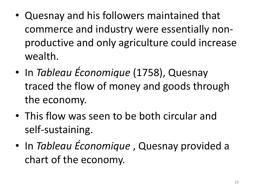- Quesnay and his followers maintained that commerce and industry were essentially nonproductive and only agriculture could increase wealth.
- In *Tableau Économique* (1758), Quesnay traced the flow of money and goods through the economy.
- This flow was seen to be both circular and self-sustaining.
- In *Tableau Économique* , Quesnay provided a chart of the economy.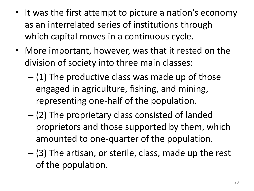- It was the first attempt to picture a nation's economy as an interrelated series of institutions through which capital moves in a continuous cycle.
- More important, however, was that it rested on the division of society into three main classes:
	- $-$  (1) The productive class was made up of those engaged in agriculture, fishing, and mining, representing one-half of the population.
	- (2) The proprietary class consisted of landed proprietors and those supported by them, which amounted to one-quarter of the population.
	- (3) The artisan, or sterile, class, made up the rest of the population.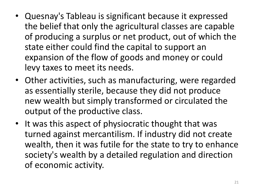- Quesnay's Tableau is significant because it expressed the belief that only the agricultural classes are capable of producing a surplus or net product, out of which the state either could find the capital to support an expansion of the flow of goods and money or could levy taxes to meet its needs.
- Other activities, such as manufacturing, were regarded as essentially sterile, because they did not produce new wealth but simply transformed or circulated the output of the productive class.
- It was this aspect of physiocratic thought that was turned against mercantilism. If industry did not create wealth, then it was futile for the state to try to enhance society's wealth by a detailed regulation and direction of economic activity.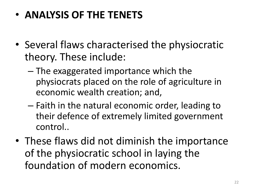## • **ANALYSIS OF THE TENETS**

- Several flaws characterised the physiocratic theory. These include:
	- The exaggerated importance which the physiocrats placed on the role of agriculture in economic wealth creation; and,
	- Faith in the natural economic order, leading to their defence of extremely limited government control..
- These flaws did not diminish the importance of the physiocratic school in laying the foundation of modern economics.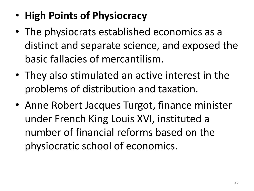- **High Points of Physiocracy**
- The physiocrats established economics as a distinct and separate science, and exposed the basic fallacies of mercantilism.
- They also stimulated an active interest in the problems of distribution and taxation.
- Anne Robert Jacques Turgot, finance minister under French King Louis XVI, instituted a number of financial reforms based on the physiocratic school of economics.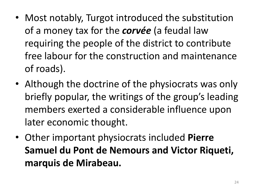- Most notably, Turgot introduced the substitution of a money tax for the *corvée* (a feudal law requiring the people of the district to contribute free labour for the construction and maintenance of roads).
- Although the doctrine of the physiocrats was only briefly popular, the writings of the group's leading members exerted a considerable influence upon later economic thought.
- Other important physiocrats included **Pierre Samuel du Pont de Nemours and Victor Riqueti, marquis de Mirabeau.**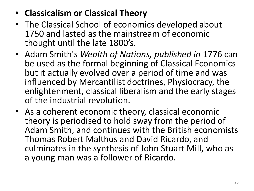## • **Classicalism or Classical Theory**

- The Classical School of economics developed about 1750 and lasted as the mainstream of economic thought until the late 1800's.
- Adam Smith's *Wealth of Nations, published in* 1776 can be used as the formal beginning of Classical Economics but it actually evolved over a period of time and was influenced by Mercantilist doctrines, Physiocracy, the enlightenment, classical liberalism and the early stages of the industrial revolution.
- As a coherent economic theory, classical economic theory is periodised to hold sway from the period of Adam Smith, and continues with the British economists Thomas Robert Malthus and David Ricardo, and culminates in the synthesis of John Stuart Mill, who as a young man was a follower of Ricardo.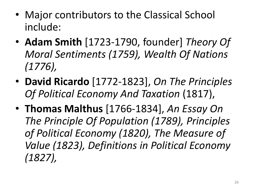- Major contributors to the Classical School include:
- **Adam Smith** [1723-1790, founder] *Theory Of Moral Sentiments (1759), Wealth Of Nations (1776),*
- **David Ricardo** [1772-1823], *On The Principles Of Political Economy And Taxation* (1817),
- **Thomas Malthus** [1766-1834], *An Essay On The Principle Of Population (1789), Principles of Political Economy (1820), The Measure of Value (1823), Definitions in Political Economy (1827),*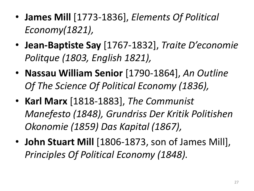- **James Mill** [1773-1836], *Elements Of Political Economy(1821),*
- **Jean-Baptiste Say** [1767-1832], *Traite D'economie Politque (1803, English 1821),*
- **Nassau William Senior** [1790-1864], *An Outline Of The Science Of Political Economy (1836),*
- **Karl Marx** [1818-1883], *The Communist Manefesto (1848), Grundriss Der Kritik Politishen Okonomie (1859) Das Kapital (1867),*
- **John Stuart Mill** [1806-1873, son of James Mill], *Principles Of Political Economy (1848).*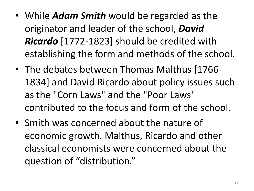- While *Adam Smith* would be regarded as the originator and leader of the school, *David Ricardo* [1772-1823] should be credited with establishing the form and methods of the school.
- The debates between Thomas Malthus [1766- 1834] and David Ricardo about policy issues such as the "Corn Laws" and the "Poor Laws" contributed to the focus and form of the school.
- Smith was concerned about the nature of economic growth. Malthus, Ricardo and other classical economists were concerned about the question of "distribution."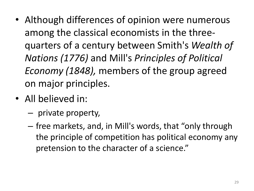- Although differences of opinion were numerous among the classical economists in the threequarters of a century between Smith's *Wealth of Nations (1776)* and Mill's *Principles of Political Economy (1848),* members of the group agreed on major principles.
- All believed in:
	- private property,
	- free markets, and, in Mill's words, that "only through the principle of competition has political economy any pretension to the character of a science."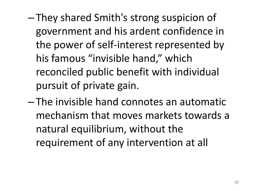- They shared Smith's strong suspicion of government and his ardent confidence in the power of self-interest represented by his famous "invisible hand," which reconciled public benefit with individual pursuit of private gain.
- The invisible hand connotes an automatic mechanism that moves markets towards a natural equilibrium, without the requirement of any intervention at all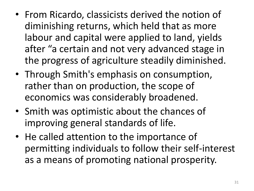- From Ricardo, classicists derived the notion of diminishing returns, which held that as more labour and capital were applied to land, yields after "a certain and not very advanced stage in the progress of agriculture steadily diminished.
- Through Smith's emphasis on consumption, rather than on production, the scope of economics was considerably broadened.
- Smith was optimistic about the chances of improving general standards of life.
- He called attention to the importance of permitting individuals to follow their self-interest as a means of promoting national prosperity.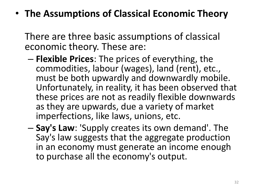• **The Assumptions of Classical Economic Theory**

There are three basic assumptions of classical economic theory. These are:

- **Flexible Prices**: The prices of everything, the commodities, labour (wages), land (rent), etc., must be both upwardly and downwardly mobile. Unfortunately, in reality, it has been observed that these prices are not as readily flexible downwards as they are upwards, due a variety of market imperfections, like laws, unions, etc.
- **Say's Law**: 'Supply creates its own demand'. The Say's law suggests that the aggregate production in an economy must generate an income enough to purchase all the economy's output.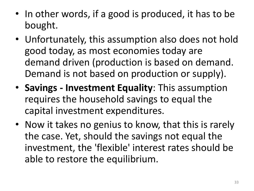- In other words, if a good is produced, it has to be bought.
- Unfortunately, this assumption also does not hold good today, as most economies today are demand driven (production is based on demand. Demand is not based on production or supply).
- **Savings - Investment Equality**: This assumption requires the household savings to equal the capital investment expenditures.
- Now it takes no genius to know, that this is rarely the case. Yet, should the savings not equal the investment, the 'flexible' interest rates should be able to restore the equilibrium.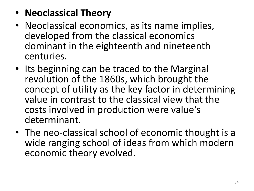- **Neoclassical Theory**
- Neoclassical economics, as its name implies, developed from the classical economics dominant in the eighteenth and nineteenth centuries.
- Its beginning can be traced to the Marginal revolution of the 1860s, which brought the concept of utility as the key factor in determining value in contrast to the classical view that the costs involved in production were value's determinant.
- The neo-classical school of economic thought is a wide ranging school of ideas from which modern economic theory evolved.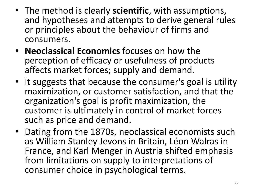- The method is clearly **scientific**, with assumptions, and hypotheses and attempts to derive general rules or principles about the behaviour of firms and consumers.
- **Neoclassical Economics** focuses on how the perception of efficacy or usefulness of products affects market forces; supply and demand.
- It suggests that because the consumer's goal is utility maximization, or customer satisfaction, and that the organization's goal is profit maximization, the customer is ultimately in control of market forces such as price and demand.
- Dating from the 1870s, neoclassical economists such as William Stanley Jevons in Britain, Léon Walras in France, and Karl Menger in Austria shifted emphasis from limitations on supply to interpretations of consumer choice in psychological terms.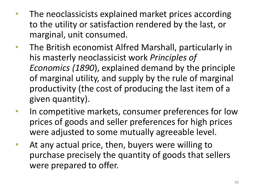- The neoclassicists explained market prices according to the utility or satisfaction rendered by the last, or marginal, unit consumed.
- The British economist Alfred Marshall, particularly in his masterly neoclassicist work *Principles of Economics (1890*), explained demand by the principle of marginal utility, and supply by the rule of marginal productivity (the cost of producing the last item of a given quantity).
- In competitive markets, consumer preferences for low prices of goods and seller preferences for high prices were adjusted to some mutually agreeable level.
- At any actual price, then, buyers were willing to purchase precisely the quantity of goods that sellers were prepared to offer.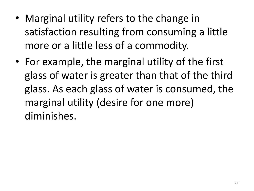- Marginal utility refers to the change in satisfaction resulting from consuming a little more or a little less of a commodity.
- For example, the marginal utility of the first glass of water is greater than that of the third glass. As each glass of water is consumed, the marginal utility (desire for one more) diminishes.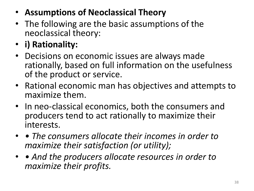- **Assumptions of Neoclassical Theory**
- The following are the basic assumptions of the neoclassical theory:
- **i) Rationality:**
- Decisions on economic issues are always made rationally, based on full information on the usefulness of the product or service.
- Rational economic man has objectives and attempts to maximize them.
- In neo-classical economics, both the consumers and producers tend to act rationally to maximize their interests.
- *The consumers allocate their incomes in order to maximize their satisfaction (or utility);*
- *And the producers allocate resources in order to maximize their profits.*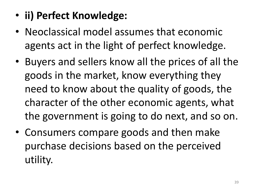- **ii) Perfect Knowledge:**
- Neoclassical model assumes that economic agents act in the light of perfect knowledge.
- Buyers and sellers know all the prices of all the goods in the market, know everything they need to know about the quality of goods, the character of the other economic agents, what the government is going to do next, and so on.
- Consumers compare goods and then make purchase decisions based on the perceived utility.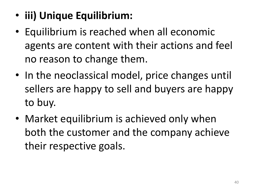- **iii) Unique Equilibrium:**
- Equilibrium is reached when all economic agents are content with their actions and feel no reason to change them.
- In the neoclassical model, price changes until sellers are happy to sell and buyers are happy to buy.
- Market equilibrium is achieved only when both the customer and the company achieve their respective goals.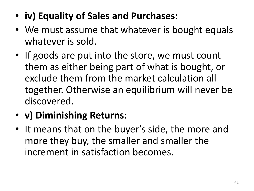- **iv) Equality of Sales and Purchases:**
- We must assume that whatever is bought equals whatever is sold.
- If goods are put into the store, we must count them as either being part of what is bought, or exclude them from the market calculation all together. Otherwise an equilibrium will never be discovered.
- **v) Diminishing Returns:**
- It means that on the buyer's side, the more and more they buy, the smaller and smaller the increment in satisfaction becomes.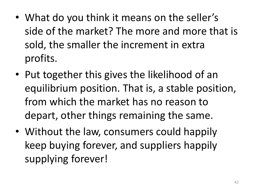- What do you think it means on the seller's side of the market? The more and more that is sold, the smaller the increment in extra profits.
- Put together this gives the likelihood of an equilibrium position. That is, a stable position, from which the market has no reason to depart, other things remaining the same.
- Without the law, consumers could happily keep buying forever, and suppliers happily supplying forever!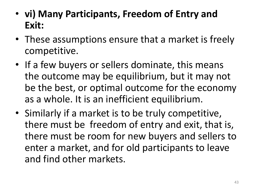- **vi) Many Participants, Freedom of Entry and Exit:**
- These assumptions ensure that a market is freely competitive.
- If a few buyers or sellers dominate, this means the outcome may be equilibrium, but it may not be the best, or optimal outcome for the economy as a whole. It is an inefficient equilibrium.
- Similarly if a market is to be truly competitive, there must be freedom of entry and exit, that is, there must be room for new buyers and sellers to enter a market, and for old participants to leave and find other markets.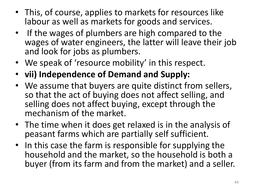- This, of course, applies to markets for resources like labour as well as markets for goods and services.
- If the wages of plumbers are high compared to the wages of water engineers, the latter will leave their job and look for jobs as plumbers.
- We speak of 'resource mobility' in this respect.
- **vii) Independence of Demand and Supply:**
- We assume that buyers are quite distinct from sellers, so that the act of buying does not affect selling, and selling does not affect buying, except through the mechanism of the market.
- The time when it does get relaxed is in the analysis of peasant farms which are partially self sufficient.
- In this case the farm is responsible for supplying the household and the market, so the household is both a buyer (from its farm and from the market) and a seller.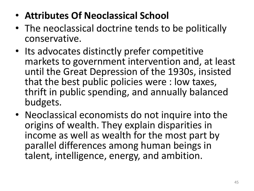- **Attributes Of Neoclassical School**
- The neoclassical doctrine tends to be politically conservative.
- Its advocates distinctly prefer competitive markets to government intervention and, at least until the Great Depression of the 1930s, insisted that the best public policies were : low taxes, thrift in public spending, and annually balanced budgets.
- Neoclassical economists do not inquire into the origins of wealth. They explain disparities in income as well as wealth for the most part by parallel differences among human beings in talent, intelligence, energy, and ambition.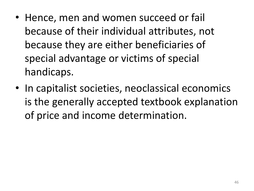- Hence, men and women succeed or fail because of their individual attributes, not because they are either beneficiaries of special advantage or victims of special handicaps.
- In capitalist societies, neoclassical economics is the generally accepted textbook explanation of price and income determination.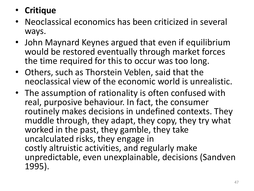- **Critique**
- Neoclassical economics has been criticized in several ways.
- John Maynard Keynes argued that even if equilibrium would be restored eventually through market forces the time required for this to occur was too long.
- Others, such as Thorstein Veblen, said that the neoclassical view of the economic world is unrealistic.
- The assumption of rationality is often confused with real, purposive behaviour. In fact, the consumer routinely makes decisions in undefined contexts. They muddle through, they adapt, they copy, they try what worked in the past, they gamble, they take uncalculated risks, they engage in costly altruistic activities, and regularly make unpredictable, even unexplainable, decisions (Sandven 1995).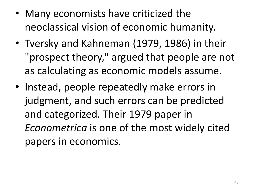- Many economists have criticized the neoclassical vision of economic humanity.
- Tversky and Kahneman (1979, 1986) in their "prospect theory," argued that people are not as calculating as economic models assume.
- Instead, people repeatedly make errors in judgment, and such errors can be predicted and categorized. Their 1979 paper in *Econometrica* is one of the most widely cited papers in economics.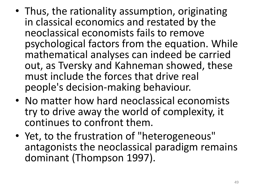- Thus, the rationality assumption, originating in classical economics and restated by the neoclassical economists fails to remove psychological factors from the equation. While mathematical analyses can indeed be carried out, as Tversky and Kahneman showed, these must include the forces that drive real people's decision-making behaviour.
- No matter how hard neoclassical economists try to drive away the world of complexity, it continues to confront them.
- Yet, to the frustration of "heterogeneous" antagonists the neoclassical paradigm remains dominant (Thompson 1997).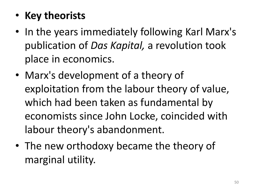- **Key theorists**
- In the years immediately following Karl Marx's publication of *Das Kapital,* a revolution took place in economics.
- Marx's development of a theory of exploitation from the labour theory of value, which had been taken as fundamental by economists since John Locke, coincided with labour theory's abandonment.
- The new orthodoxy became the theory of marginal utility.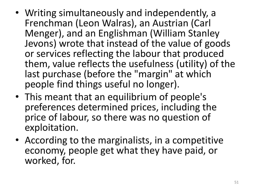- Writing simultaneously and independently, a Frenchman (Leon Walras), an Austrian (Carl Menger), and an Englishman (William Stanley Jevons) wrote that instead of the value of goods or services reflecting the labour that produced them, value reflects the usefulness (utility) of the last purchase (before the "margin" at which people find things useful no longer).
- This meant that an equilibrium of people's preferences determined prices, including the price of labour, so there was no question of exploitation.
- According to the marginalists, in a competitive economy, people get what they have paid, or worked, for.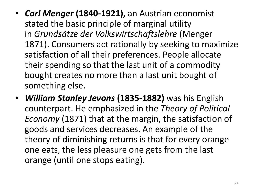- *Carl Menger* **(1840-1921),** an Austrian economist stated the basic principle of marginal utility in *Grundsätze der Volkswirtschaftslehre* (Menger 1871). Consumers act rationally by seeking to maximize satisfaction of all their preferences. People allocate their spending so that the last unit of a commodity bought creates no more than a last unit bought of something else.
- *William Stanley Jevons* **(1835-1882)** was his English counterpart. He emphasized in the *Theory of Political Economy* (1871) that at the margin, the satisfaction of goods and services decreases. An example of the theory of diminishing returns is that for every orange one eats, the less pleasure one gets from the last orange (until one stops eating).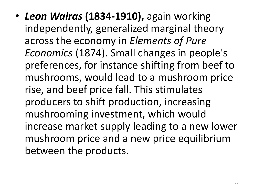• *Leon Walras* **(1834-1910),** again working independently, generalized marginal theory across the economy in *Elements of Pure Economics* (1874). Small changes in people's preferences, for instance shifting from beef to mushrooms, would lead to a mushroom price rise, and beef price fall. This stimulates producers to shift production, increasing mushrooming investment, which would increase market supply leading to a new lower mushroom price and a new price equilibrium between the products.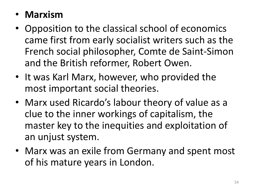#### • **Marxism**

- Opposition to the classical school of economics came first from early socialist writers such as the French social philosopher, Comte de Saint-Simon and the British reformer, Robert Owen.
- It was Karl Marx, however, who provided the most important social theories.
- Marx used Ricardo's labour theory of value as a clue to the inner workings of capitalism, the master key to the inequities and exploitation of an unjust system.
- Marx was an exile from Germany and spent most of his mature years in London.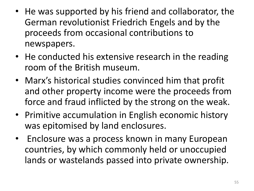- He was supported by his friend and collaborator, the German revolutionist Friedrich Engels and by the proceeds from occasional contributions to newspapers.
- He conducted his extensive research in the reading room of the British museum.
- Marx's historical studies convinced him that profit and other property income were the proceeds from force and fraud inflicted by the strong on the weak.
- Primitive accumulation in English economic history was epitomised by land enclosures.
- Enclosure was a process known in many European countries, by which commonly held or unoccupied lands or wastelands passed into private ownership.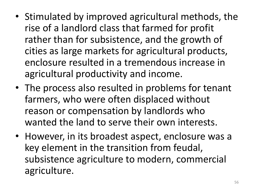- Stimulated by improved agricultural methods, the rise of a landlord class that farmed for profit rather than for subsistence, and the growth of cities as large markets for agricultural products, enclosure resulted in a tremendous increase in agricultural productivity and income.
- The process also resulted in problems for tenant farmers, who were often displaced without reason or compensation by landlords who wanted the land to serve their own interests.
- However, in its broadest aspect, enclosure was a key element in the transition from feudal, subsistence agriculture to modern, commercial agriculture.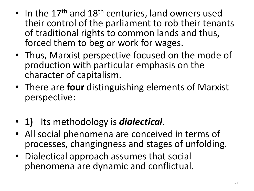- In the  $17<sup>th</sup>$  and  $18<sup>th</sup>$  centuries, land owners used their control of the parliament to rob their tenants of traditional rights to common lands and thus, forced them to beg or work for wages.
- Thus, Marxist perspective focused on the mode of production with particular emphasis on the character of capitalism.
- There are **four** distinguishing elements of Marxist perspective:
- **1)** Its methodology is *dialectical*.
- All social phenomena are conceived in terms of processes, changingness and stages of unfolding.
- Dialectical approach assumes that social phenomena are dynamic and conflictual.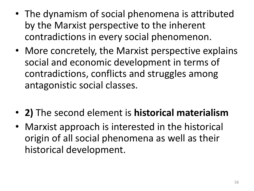- The dynamism of social phenomena is attributed by the Marxist perspective to the inherent contradictions in every social phenomenon.
- More concretely, the Marxist perspective explains social and economic development in terms of contradictions, conflicts and struggles among antagonistic social classes.
- **2)** The second element is **historical materialism**
- Marxist approach is interested in the historical origin of all social phenomena as well as their historical development.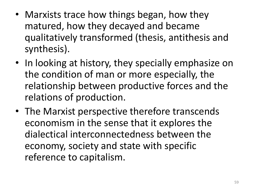- Marxists trace how things began, how they matured, how they decayed and became qualitatively transformed (thesis, antithesis and synthesis).
- In looking at history, they specially emphasize on the condition of man or more especially, the relationship between productive forces and the relations of production.
- The Marxist perspective therefore transcends economism in the sense that it explores the dialectical interconnectedness between the economy, society and state with specific reference to capitalism.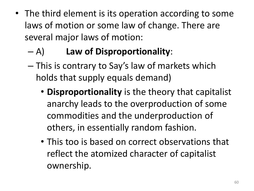- The third element is its operation according to some laws of motion or some law of change. There are several major laws of motion:
	- A) **Law of Disproportionality**:
	- This is contrary to Say's law of markets which holds that supply equals demand)
		- **Disproportionality** is the theory that capitalist anarchy leads to the overproduction of some commodities and the underproduction of others, in essentially random fashion.
		- This too is based on correct observations that reflect the atomized character of capitalist ownership.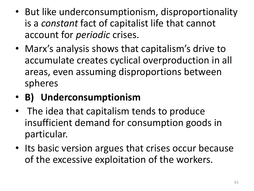- But like underconsumptionism, disproportionality is a *constant* fact of capitalist life that cannot account for *periodic* crises.
- Marx's analysis shows that capitalism's drive to accumulate creates cyclical overproduction in all areas, even assuming disproportions between spheres

# • **B) Underconsumptionism**

- The idea that capitalism tends to produce insufficient demand for consumption goods in particular.
- Its basic version argues that crises occur because of the excessive exploitation of the workers.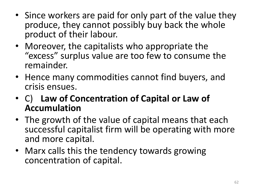- Since workers are paid for only part of the value they produce, they cannot possibly buy back the whole product of their labour.
- Moreover, the capitalists who appropriate the "excess" surplus value are too few to consume the remainder.
- Hence many commodities cannot find buyers, and crisis ensues.
- C) **Law of Concentration of Capital or Law of Accumulation**
- The growth of the value of capital means that each successful capitalist firm will be operating with more and more capital.
- Marx calls this the tendency towards growing concentration of capital.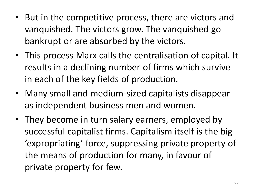- But in the competitive process, there are victors and vanquished. The victors grow. The vanquished go bankrupt or are absorbed by the victors.
- This process Marx calls the centralisation of capital. It results in a declining number of firms which survive in each of the key fields of production.
- Many small and medium-sized capitalists disappear as independent business men and women.
- They become in turn salary earners, employed by successful capitalist firms. Capitalism itself is the big 'expropriating' force, suppressing private property of the means of production for many, in favour of private property for few.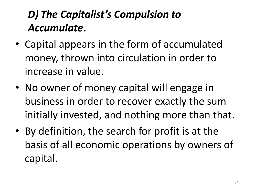# *D) The Capitalist's Compulsion to Accumulate***.**

- Capital appears in the form of accumulated money, thrown into circulation in order to increase in value.
- No owner of money capital will engage in business in order to recover exactly the sum initially invested, and nothing more than that.
- By definition, the search for profit is at the basis of all economic operations by owners of capital.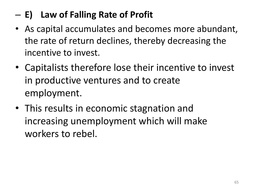## – **E) Law of Falling Rate of Profit**

- As capital accumulates and becomes more abundant, the rate of return declines, thereby decreasing the incentive to invest.
- Capitalists therefore lose their incentive to invest in productive ventures and to create employment.
- This results in economic stagnation and increasing unemployment which will make workers to rebel.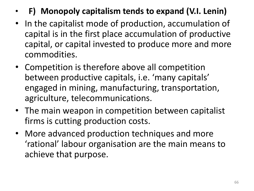- **F) Monopoly capitalism tends to expand (V.I. Lenin)**
- In the capitalist mode of production, accumulation of capital is in the first place accumulation of productive capital, or capital invested to produce more and more commodities.
- Competition is therefore above all competition between productive capitals, i.e. 'many capitals' engaged in mining, manufacturing, transportation, agriculture, telecommunications.
- The main weapon in competition between capitalist firms is cutting production costs.
- More advanced production techniques and more 'rational' labour organisation are the main means to achieve that purpose.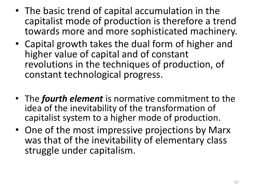- The basic trend of capital accumulation in the capitalist mode of production is therefore a trend towards more and more sophisticated machinery.
- Capital growth takes the dual form of higher and higher value of capital and of constant revolutions in the techniques of production, of constant technological progress.
- The *fourth element* is normative commitment to the idea of the inevitability of the transformation of capitalist system to a higher mode of production.
- One of the most impressive projections by Marx was that of the inevitability of elementary class struggle under capitalism.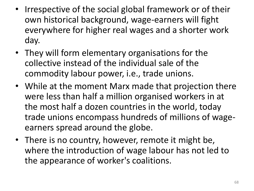- Irrespective of the social global framework or of their own historical background, wage-earners will fight everywhere for higher real wages and a shorter work day.
- They will form elementary organisations for the collective instead of the individual sale of the commodity labour power, i.e., trade unions.
- While at the moment Marx made that projection there were less than half a million organised workers in at the most half a dozen countries in the world, today trade unions encompass hundreds of millions of wageearners spread around the globe.
- There is no country, however, remote it might be, where the introduction of wage labour has not led to the appearance of worker's coalitions.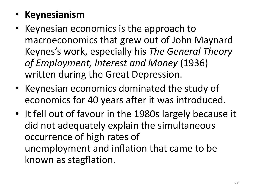# • **Keynesianism**

- Keynesian economics is the approach to macroeconomics that grew out of John Maynard Keynes's work, especially his *The General Theory of Employment, Interest and Money* (1936) written during the Great Depression.
- Keynesian economics dominated the study of economics for 40 years after it was introduced.
- It fell out of favour in the 1980s largely because it did not adequately explain the simultaneous occurrence of high rates of unemployment and inflation that came to be known as stagflation.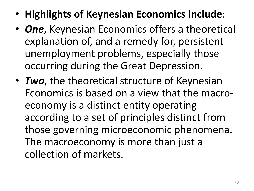- **Highlights of Keynesian Economics include**:
- *One*, Keynesian Economics offers a theoretical explanation of, and a remedy for, persistent unemployment problems, especially those occurring during the Great Depression.
- *Two*, the theoretical structure of Keynesian Economics is based on a view that the macroeconomy is a distinct entity operating according to a set of principles distinct from those governing microeconomic phenomena. The macroeconomy is more than just a collection of markets.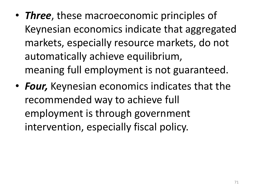- *Three*, these macroeconomic principles of Keynesian economics indicate that aggregated markets, especially resource markets, do not automatically achieve equilibrium, meaning full employment is not guaranteed.
- *Four,* Keynesian economics indicates that the recommended way to achieve full employment is through government intervention, especially fiscal policy.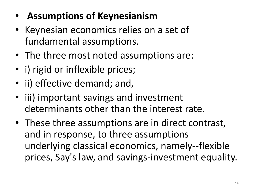- **Assumptions of Keynesianism**
- Keynesian economics relies on a set of fundamental assumptions.
- The three most noted assumptions are:
- i) rigid or inflexible prices;
- ii) effective demand; and,
- iii) important savings and investment determinants other than the interest rate.
- These three assumptions are in direct contrast, and in response, to three assumptions underlying classical economics, namely--flexible prices, Say's law, and savings-investment equality.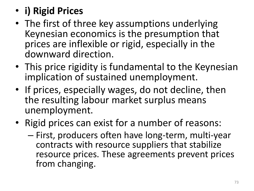- **i) Rigid Prices**
- The first of three key assumptions underlying Keynesian economics is the presumption that prices are inflexible or rigid, especially in the downward direction.
- This price rigidity is fundamental to the Keynesian implication of sustained unemployment.
- If prices, especially wages, do not decline, then the resulting labour market surplus means unemployment.
- Rigid prices can exist for a number of reasons:
	- First, producers often have long-term, multi-year contracts with resource suppliers that stabilize resource prices. These agreements prevent prices from changing.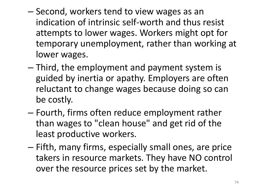- Second, workers tend to view wages as an indication of intrinsic self-worth and thus resist attempts to lower wages. Workers might opt for temporary unemployment, rather than working at lower wages.
- Third, the employment and payment system is guided by inertia or apathy. Employers are often reluctant to change wages because doing so can be costly.
- Fourth, firms often reduce employment rather than wages to "clean house" and get rid of the least productive workers.
- Fifth, many firms, especially small ones, are price takers in resource markets. They have NO control over the resource prices set by the market.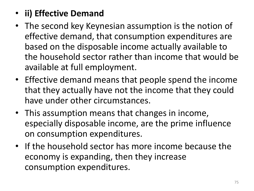## • **ii) Effective Demand**

- The second key Keynesian assumption is the notion of effective demand, that consumption expenditures are based on the disposable income actually available to the household sector rather than income that would be available at full employment.
- Effective demand means that people spend the income that they actually have not the income that they could have under other circumstances.
- This assumption means that changes in income, especially disposable income, are the prime influence on consumption expenditures.
- If the household sector has more income because the economy is expanding, then they increase consumption expenditures.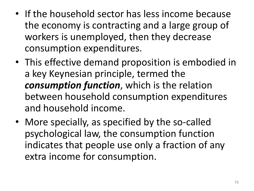- If the household sector has less income because the economy is contracting and a large group of workers is unemployed, then they decrease consumption expenditures.
- This effective demand proposition is embodied in a key Keynesian principle, termed the *consumption function*, which is the relation between household consumption expenditures and household income.
- More specially, as specified by the so-called psychological law, the consumption function indicates that people use only a fraction of any extra income for consumption.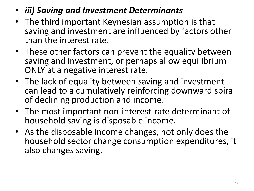- *iii) Saving and Investment Determinants*
- The third important Keynesian assumption is that saving and investment are influenced by factors other than the interest rate.
- These other factors can prevent the equality between saving and investment, or perhaps allow equilibrium ONLY at a negative interest rate.
- The lack of equality between saving and investment can lead to a cumulatively reinforcing downward spiral of declining production and income.
- The most important non-interest-rate determinant of household saving is disposable income.
- As the disposable income changes, not only does the household sector change consumption expenditures, it also changes saving.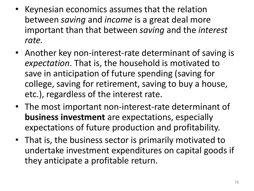- Keynesian economics assumes that the relation between *saving* and *income* is a great deal more important than that between *saving* and the *interest rate.*
- Another key non-interest-rate determinant of saving is *expectation*. That is, the household is motivated to save in anticipation of future spending (saving for college, saving for retirement, saving to buy a house, etc.), regardless of the interest rate.
- The most important non-interest-rate determinant of **business investment** are expectations, especially expectations of future production and profitability.
- That is, the business sector is primarily motivated to undertake investment expenditures on capital goods if they anticipate a profitable return.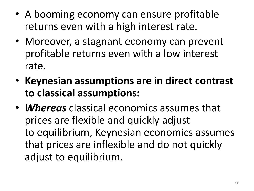- A booming economy can ensure profitable returns even with a high interest rate.
- Moreover, a stagnant economy can prevent profitable returns even with a low interest rate.
- **Keynesian assumptions are in direct contrast to classical assumptions:**
- *Whereas* classical economics assumes that prices are flexible and quickly adjust to equilibrium, Keynesian economics assumes that prices are inflexible and do not quickly adjust to equilibrium.